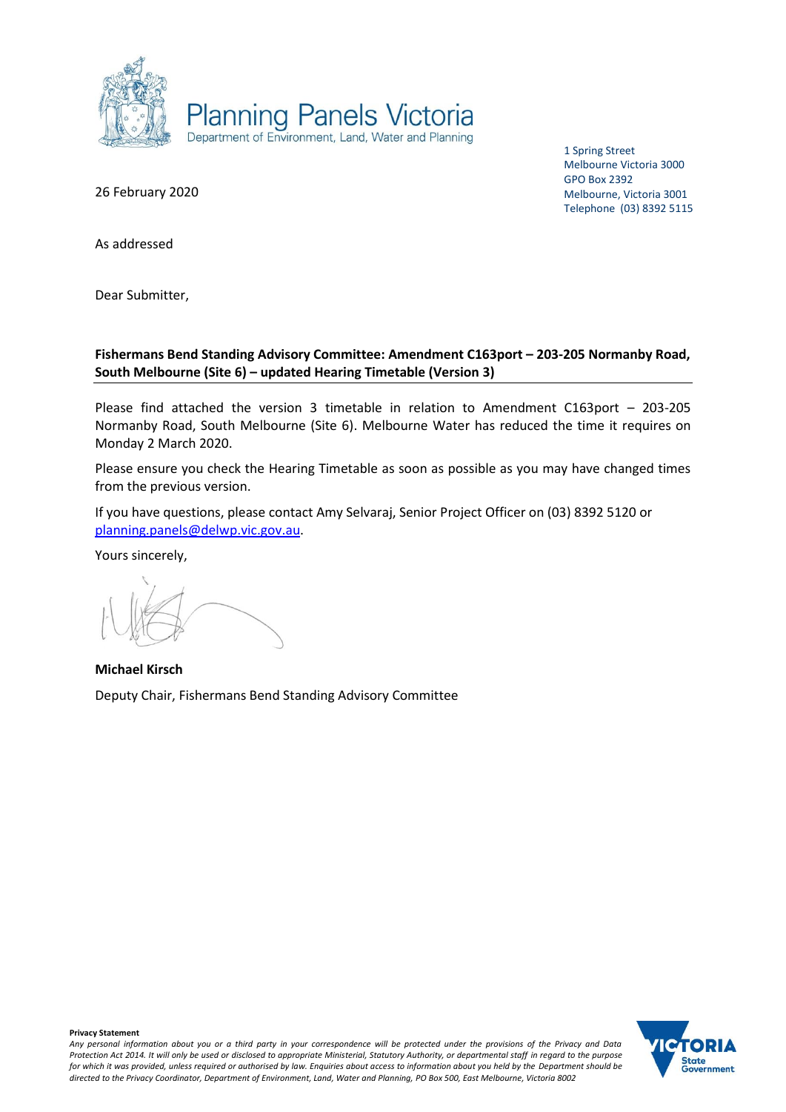

26 February 2020

1 Spring Street Melbourne Victoria 3000 GPO Box 2392 Melbourne, Victoria 3001 Telephone (03) 8392 5115

As addressed

Dear Submitter,

## **Fishermans Bend Standing Advisory Committee: Amendment C163port – 203-205 Normanby Road, South Melbourne (Site 6) – updated Hearing Timetable (Version 3)**

Please find attached the version 3 timetable in relation to Amendment C163port – 203-205 Normanby Road, South Melbourne (Site 6). Melbourne Water has reduced the time it requires on Monday 2 March 2020.

Please ensure you check the Hearing Timetable as soon as possible as you may have changed times from the previous version.

If you have questions, please contact Amy Selvaraj, Senior Project Officer on (03) 8392 5120 or [planning.panels@delwp.vic.gov.au.](mailto:planning.panels@delwp.vic.gov.au)

Yours sincerely,

**Michael Kirsch** Deputy Chair, Fishermans Bend Standing Advisory Committee

**Privacy Statement** *Any personal information about you or a third party in your correspondence will be protected under the provisions of the Privacy and Data Protection Act 2014. It will only be used or disclosed to appropriate Ministerial, Statutory Authority, or departmental staff in regard to the purpose for which it was provided, unless required or authorised by law. Enquiries about access to information about you held by the Department should be directed to the Privacy Coordinator, Department of Environment, Land, Water and Planning, PO Box 500, East Melbourne, Victoria 8002*

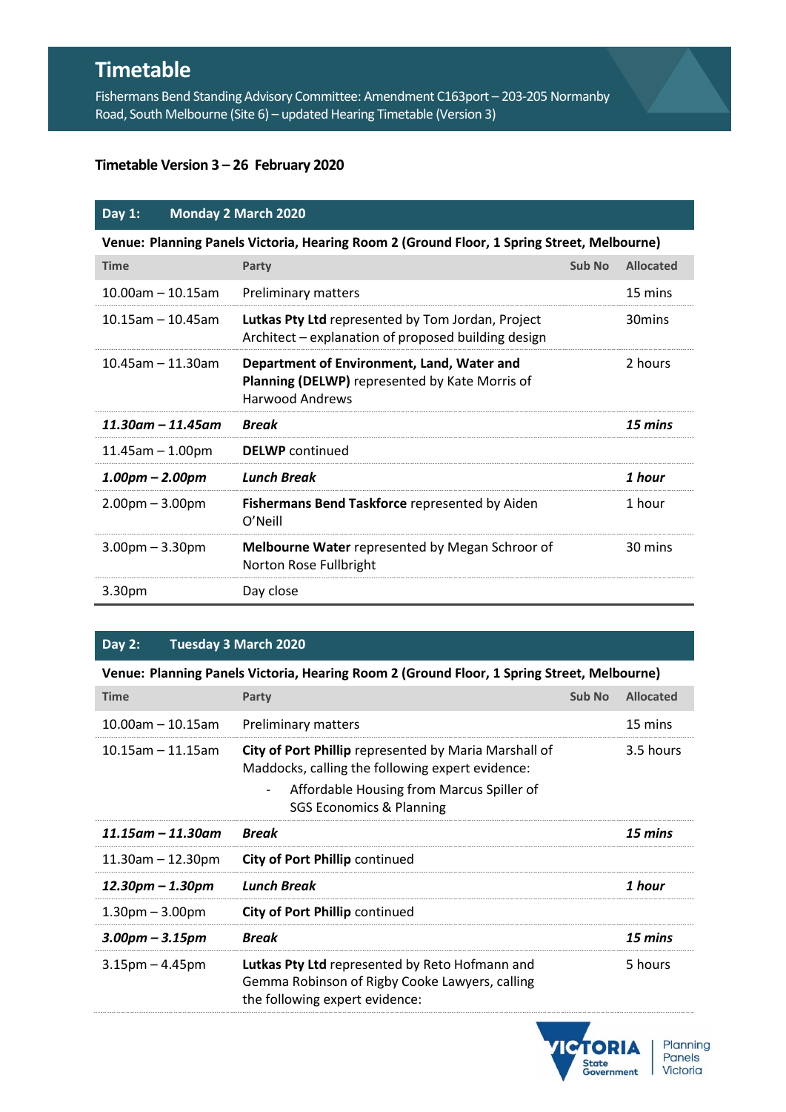# **Timetable**

Fishermans Bend Standing Advisory Committee: Amendment C163port – 203-205 Normanby Road, South Melbourne (Site 6) – updated Hearing Timetable (Version 3)

## **Timetable Version 3 – 26 February 2020**

## **Day 1: Monday 2 March 2020**

**Venue: Planning Panels Victoria, Hearing Room 2 (Ground Floor, 1 Spring Street, Melbourne)**

| <b>Time</b>             | Party                                                                                                                  | <b>Sub No</b> | <b>Allocated</b> |
|-------------------------|------------------------------------------------------------------------------------------------------------------------|---------------|------------------|
| $10.00$ am - 10.15am    | <b>Preliminary matters</b>                                                                                             |               | 15 mins          |
| $10.15$ am - 10.45am    | Lutkas Pty Ltd represented by Tom Jordan, Project<br>Architect – explanation of proposed building design               |               | 30 mins          |
| $10.45$ am - 11.30am    | Department of Environment, Land, Water and<br>Planning (DELWP) represented by Kate Morris of<br><b>Harwood Andrews</b> |               | 2 hours          |
| $11.30$ am – $11.45$ am | <b>Break</b>                                                                                                           |               | 15 mins          |
| $11.45$ am $-1.00$ pm   | <b>DELWP</b> continued                                                                                                 |               |                  |
| $1.00$ pm – 2.00pm      | <b>Lunch Break</b>                                                                                                     |               | 1 hour           |
| $2.00pm - 3.00pm$       | <b>Fishermans Bend Taskforce represented by Aiden</b><br>O'Neill                                                       |               | 1 hour           |
| $3.00$ pm $- 3.30$ pm   | <b>Melbourne Water</b> represented by Megan Schroor of<br>Norton Rose Fullbright                                       |               | 30 mins          |
| 3.30 <sub>pm</sub>      | Day close                                                                                                              |               |                  |

# **Day 2: Tuesday 3 March 2020**

**Venue: Planning Panels Victoria, Hearing Room 2 (Ground Floor, 1 Spring Street, Melbourne)**

| <b>Time</b>             | Party                                                                                                                                                                                                                     | Sub No | <b>Allocated</b> |
|-------------------------|---------------------------------------------------------------------------------------------------------------------------------------------------------------------------------------------------------------------------|--------|------------------|
| $10.00$ am - 10.15am    | <b>Preliminary matters</b>                                                                                                                                                                                                |        | 15 mins          |
| $10.15$ am - 11.15am    | City of Port Phillip represented by Maria Marshall of<br>Maddocks, calling the following expert evidence:<br>Affordable Housing from Marcus Spiller of<br>$\overline{\phantom{a}}$<br><b>SGS Economics &amp; Planning</b> |        | 3.5 hours        |
| $11.15$ am – $11.30$ am | <b>Break</b>                                                                                                                                                                                                              |        | 15 mins          |
| $11.30$ am – 12.30pm    | <b>City of Port Phillip continued</b>                                                                                                                                                                                     |        |                  |
| 12.30pm – 1.30pm        | <b>Lunch Break</b>                                                                                                                                                                                                        |        | 1 hour           |
| $1.30pm - 3.00pm$       | <b>City of Port Phillip continued</b>                                                                                                                                                                                     |        |                  |
| $3.00$ pm – $3.15$ pm   |                                                                                                                                                                                                                           |        |                  |
|                         | <b>Break</b>                                                                                                                                                                                                              |        | 15 mins          |

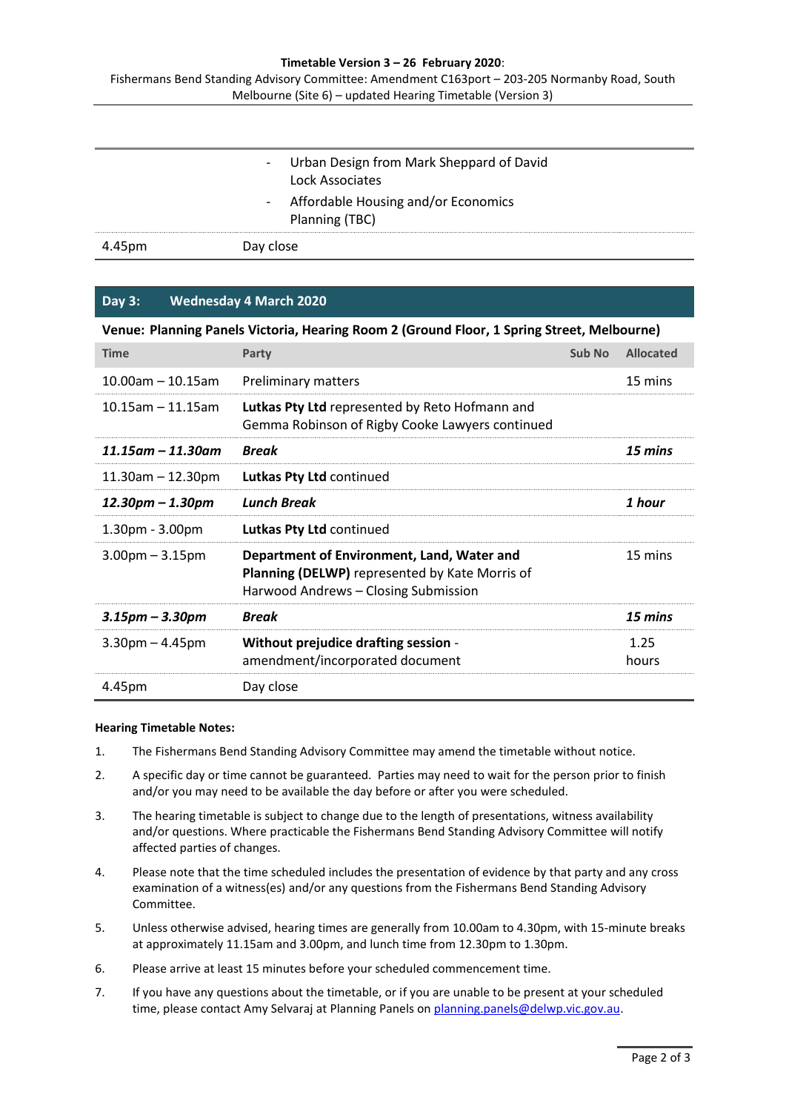#### **Timetable Version 3 – 26 February 2020**:

| Fishermans Bend Standing Advisory Committee: Amendment C163port - 203-205 Normanby Road, South |
|------------------------------------------------------------------------------------------------|
| Melbourne (Site 6) – updated Hearing Timetable (Version 3)                                     |

|        | Urban Design from Mark Sheppard of David<br>$\sim 10$<br>Lock Associates |
|--------|--------------------------------------------------------------------------|
|        | - Affordable Housing and/or Economics<br>Planning (TBC)                  |
| 4.45pm | Day close                                                                |

## **Day 3: Wednesday 4 March 2020**

| Venue: Planning Panels Victoria, Hearing Room 2 (Ground Floor, 1 Spring Street, Melbourne) |                                                                                                                                      |        |                  |  |  |  |
|--------------------------------------------------------------------------------------------|--------------------------------------------------------------------------------------------------------------------------------------|--------|------------------|--|--|--|
| <b>Time</b>                                                                                | Party                                                                                                                                | Sub No | <b>Allocated</b> |  |  |  |
| $10.00$ am – 10.15am                                                                       | <b>Preliminary matters</b>                                                                                                           |        | 15 mins          |  |  |  |
| $10.15$ am – 11.15am                                                                       | Lutkas Pty Ltd represented by Reto Hofmann and<br>Gemma Robinson of Rigby Cooke Lawyers continued                                    |        |                  |  |  |  |
| $11.15$ am - $11.30$ am                                                                    | <b>Break</b>                                                                                                                         |        | 15 mins          |  |  |  |
| $11.30$ am – 12.30pm                                                                       | Lutkas Pty Ltd continued                                                                                                             |        |                  |  |  |  |
| $12.30$ pm – $1.30$ pm                                                                     | <b>Lunch Break</b>                                                                                                                   |        | 1 hour           |  |  |  |
| $1.30pm - 3.00pm$                                                                          | Lutkas Pty Ltd continued                                                                                                             |        |                  |  |  |  |
| $3.00$ pm $- 3.15$ pm                                                                      | Department of Environment, Land, Water and<br>Planning (DELWP) represented by Kate Morris of<br>Harwood Andrews - Closing Submission |        | 15 mins          |  |  |  |
| $3.15$ pm – $3.30$ pm                                                                      | <b>Break</b>                                                                                                                         |        | 15 mins          |  |  |  |
| $3.30pm - 4.45pm$                                                                          | Without prejudice drafting session -<br>amendment/incorporated document                                                              |        | 1.25<br>hours    |  |  |  |
| 4.45pm                                                                                     | Day close                                                                                                                            |        |                  |  |  |  |

### **Hearing Timetable Notes:**

- 1. The Fishermans Bend Standing Advisory Committee may amend the timetable without notice.
- 2. A specific day or time cannot be guaranteed. Parties may need to wait for the person prior to finish and/or you may need to be available the day before or after you were scheduled.
- 3. The hearing timetable is subject to change due to the length of presentations, witness availability and/or questions. Where practicable the Fishermans Bend Standing Advisory Committee will notify affected parties of changes.
- 4. Please note that the time scheduled includes the presentation of evidence by that party and any cross examination of a witness(es) and/or any questions from the Fishermans Bend Standing Advisory Committee.
- 5. Unless otherwise advised, hearing times are generally from 10.00am to 4.30pm, with 15-minute breaks at approximately 11.15am and 3.00pm, and lunch time from 12.30pm to 1.30pm.
- 6. Please arrive at least 15 minutes before your scheduled commencement time.
- 7. If you have any questions about the timetable, or if you are unable to be present at your scheduled time, please contact Amy Selvaraj at Planning Panels o[n planning.panels@delwp.vic.gov.au.](mailto:planning.panels@delwp.vic.gov.au)